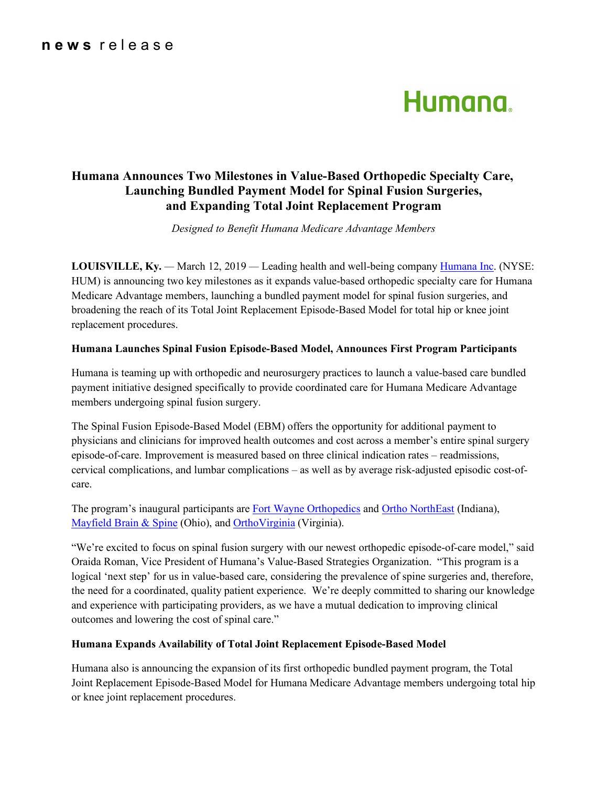# Humana.

# **Humana Announces Two Milestones in Value-Based Orthopedic Specialty Care, Launching Bundled Payment Model for Spinal Fusion Surgeries, and Expanding Total Joint Replacement Program**

*Designed to Benefit Humana Medicare Advantage Members*

**LOUISVILLE, Ky.** *—* March 12, 2019 *—* Leading health and well-being company Humana Inc. (NYSE: HUM) is announcing two key milestones as it expands value-based orthopedic specialty care for Humana Medicare Advantage members, launching a bundled payment model for spinal fusion surgeries, and broadening the reach of its Total Joint Replacement Episode-Based Model for total hip or knee joint replacement procedures.

#### **Humana Launches Spinal Fusion Episode-Based Model, Announces First Program Participants**

Humana is teaming up with orthopedic and neurosurgery practices to launch a value-based care bundled payment initiative designed specifically to provide coordinated care for Humana Medicare Advantage members undergoing spinal fusion surgery.

The Spinal Fusion Episode-Based Model (EBM) offers the opportunity for additional payment to physicians and clinicians for improved health outcomes and cost across a member's entire spinal surgery episode-of-care. Improvement is measured based on three clinical indication rates – readmissions, cervical complications, and lumbar complications – as well as by average risk-adjusted episodic cost-ofcare.

The program's inaugural participants are Fort Wayne Orthopedics and Ortho NorthEast (Indiana), Mayfield Brain & Spine (Ohio), and OrthoVirginia (Virginia).

"We're excited to focus on spinal fusion surgery with our newest orthopedic episode-of-care model," said Oraida Roman, Vice President of Humana's Value-Based Strategies Organization. "This program is a logical 'next step' for us in value-based care, considering the prevalence of spine surgeries and, therefore, the need for a coordinated, quality patient experience. We're deeply committed to sharing our knowledge and experience with participating providers, as we have a mutual dedication to improving clinical outcomes and lowering the cost of spinal care."

## **Humana Expands Availability of Total Joint Replacement Episode-Based Model**

Humana also is announcing the expansion of its first orthopedic bundled payment program, the Total Joint Replacement Episode-Based Model for Humana Medicare Advantage members undergoing total hip or knee joint replacement procedures.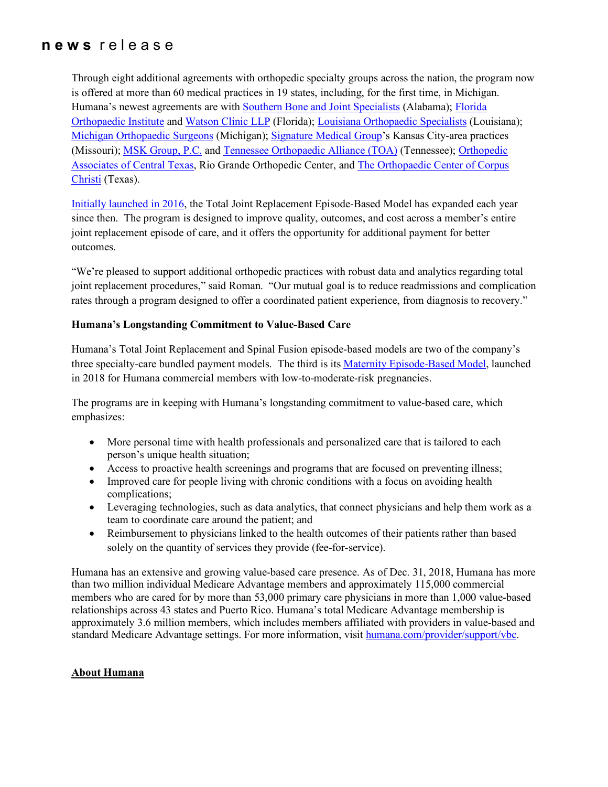Through eight additional agreements with orthopedic specialty groups across the nation, the program now is offered at more than 60 medical practices in 19 states, including, for the first time, in Michigan. Humana's newest agreements are with Southern Bone and Joint Specialists (Alabama); Florida Orthopaedic Institute and Watson Clinic LLP (Florida); Louisiana Orthopaedic Specialists (Louisiana); Michigan Orthopaedic Surgeons (Michigan); Signature Medical Group's Kansas City-area practices (Missouri); MSK Group, P.C. and Tennessee Orthopaedic Alliance (TOA) (Tennessee); Orthopedic Associates of Central Texas, Rio Grande Orthopedic Center, and The Orthopaedic Center of Corpus Christi (Texas).

Initially launched in 2016, the Total Joint Replacement Episode-Based Model has expanded each year since then. The program is designed to improve quality, outcomes, and cost across a member's entire joint replacement episode of care, and it offers the opportunity for additional payment for better outcomes.

"We're pleased to support additional orthopedic practices with robust data and analytics regarding total joint replacement procedures," said Roman. "Our mutual goal is to reduce readmissions and complication rates through a program designed to offer a coordinated patient experience, from diagnosis to recovery."

## **Humana's Longstanding Commitment to Value-Based Care**

Humana's Total Joint Replacement and Spinal Fusion episode-based models are two of the company's three specialty-care bundled payment models. The third is its Maternity Episode-Based Model, launched in 2018 for Humana commercial members with low-to-moderate-risk pregnancies.

The programs are in keeping with Humana's longstanding commitment to value-based care, which emphasizes:

- More personal time with health professionals and personalized care that is tailored to each person's unique health situation;
- Access to proactive health screenings and programs that are focused on preventing illness;
- Improved care for people living with chronic conditions with a focus on avoiding health complications;
- Leveraging technologies, such as data analytics, that connect physicians and help them work as a team to coordinate care around the patient; and
- Reimbursement to physicians linked to the health outcomes of their patients rather than based solely on the quantity of services they provide (fee-for-service).

Humana has an extensive and growing value-based care presence. As of Dec. 31, 2018, Humana has more than two million individual Medicare Advantage members and approximately 115,000 commercial members who are cared for by more than 53,000 primary care physicians in more than 1,000 value-based relationships across 43 states and Puerto Rico. Humana's total Medicare Advantage membership is approximately 3.6 million members, which includes members affiliated with providers in value-based and standard Medicare Advantage settings. For more information, visit humana.com/provider/support/vbc.

## **About Humana**